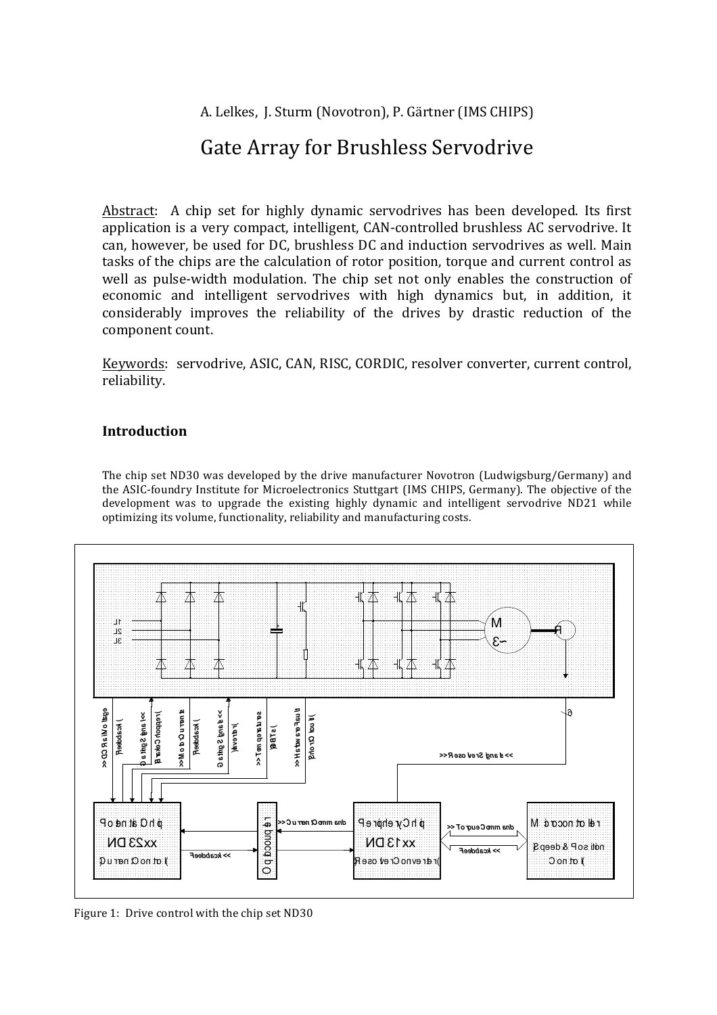A. Lelkes, J. Sturm (Novotron), P. Gärtner (IMS CHIPS)

# Gate Array for Brushless Servodrive

Abstract: A chip set for highly dynamic servodrives has been developed. Its first application is a very compact, intelligent, CAN-controlled brushless AC servodrive. It can, however, be used for DC, brushless DC and induction servodrives as well. Main tasks of the chips are the calculation of rotor position, torque and current control as well as pulse-width modulation. The chip set not only enables the construction of economic and intelligent servodrives with high dynamics but, in addition, it considerably improves the reliability of the drives by drastic reduction of the component count.

Keywords: servodrive, ASIC, CAN, RISC, CORDIC, resolver converter, current control, reliability.

# **Introduction**

The chip set ND30 was developed by the drive manufacturer Novotron (Ludwigsburg/Germany) and the ASIC-foundry Institute for Microelectronics Stuttgart (IMS CHIPS, Germany). The objective of the development was to upgrade the existing highly dynamic and intelligent servodrive ND21 while optimizing its volume, functionality, reliability and manufacturing costs.



Figure 1: Drive control with the chip set ND30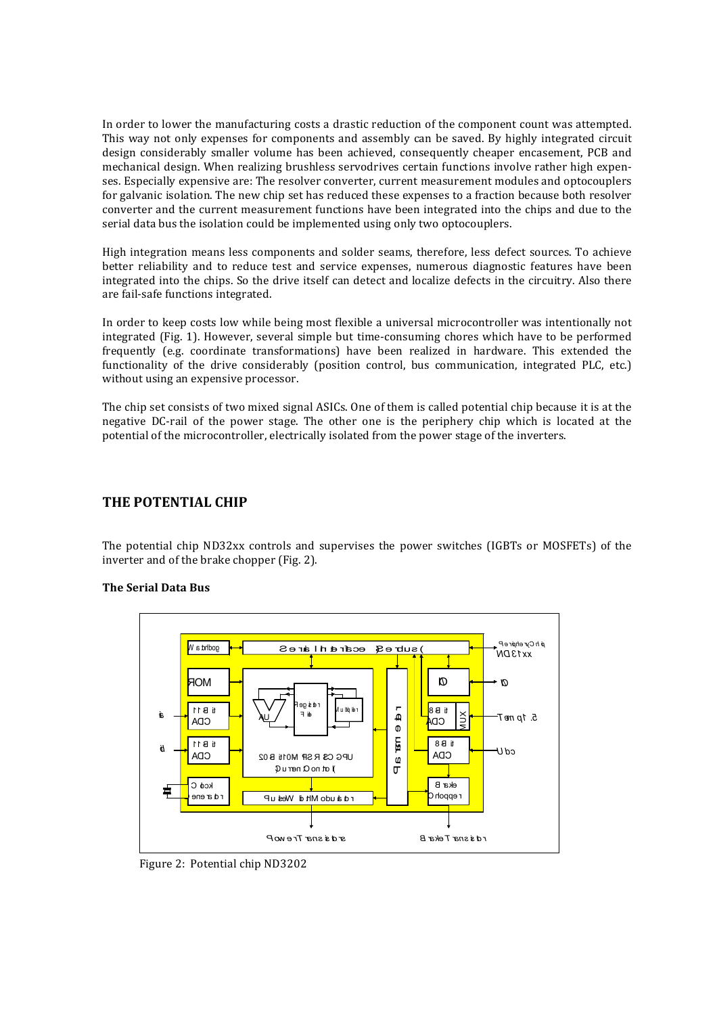In order to lower the manufacturing costs a drastic reduction of the component count was attempted. This way not only expenses for components and assembly can be saved. By highly integrated circuit design considerably smaller volume has been achieved, consequently cheaper encasement, PCB and mechanical design. When realizing brushless servodrives certain functions involve rather high expenses. Especially expensive are: The resolver converter, current measurement modules and optocouplers for galvanic isolation. The new chip set has reduced these expenses to a fraction because both resolver converter and the current measurement functions have been integrated into the chips and due to the serial data bus the isolation could be implemented using only two optocouplers.

High integration means less components and solder seams, therefore, less defect sources. To achieve better reliability and to reduce test and service expenses, numerous diagnostic features have been integrated into the chips. So the drive itself can detect and localize defects in the circuitry. Also there are fail-safe functions integrated.

In order to keep costs low while being most flexible a universal microcontroller was intentionally not integrated (Fig. 1). However, several simple but time-consuming chores which have to be performed frequently (e.g. coordinate transformations) have been realized in hardware. This extended the functionality of the drive considerably (position control, bus communication, integrated PLC, etc.) without using an expensive processor.

The chip set consists of two mixed signal ASICs. One of them is called potential chip because it is at the negative DC-rail of the power stage. The other one is the periphery chip which is located at the potential of the microcontroller, electrically isolated from the power stage of the inverters.

# **THE POTENTIAL CHIP**

The potential chip ND32xx controls and supervises the power switches (IGBTs or MOSFETs) of the inverter and of the brake chopper (Fig. 2).

## **The Serial Data Bus**



Figure 2: Potential chip ND3202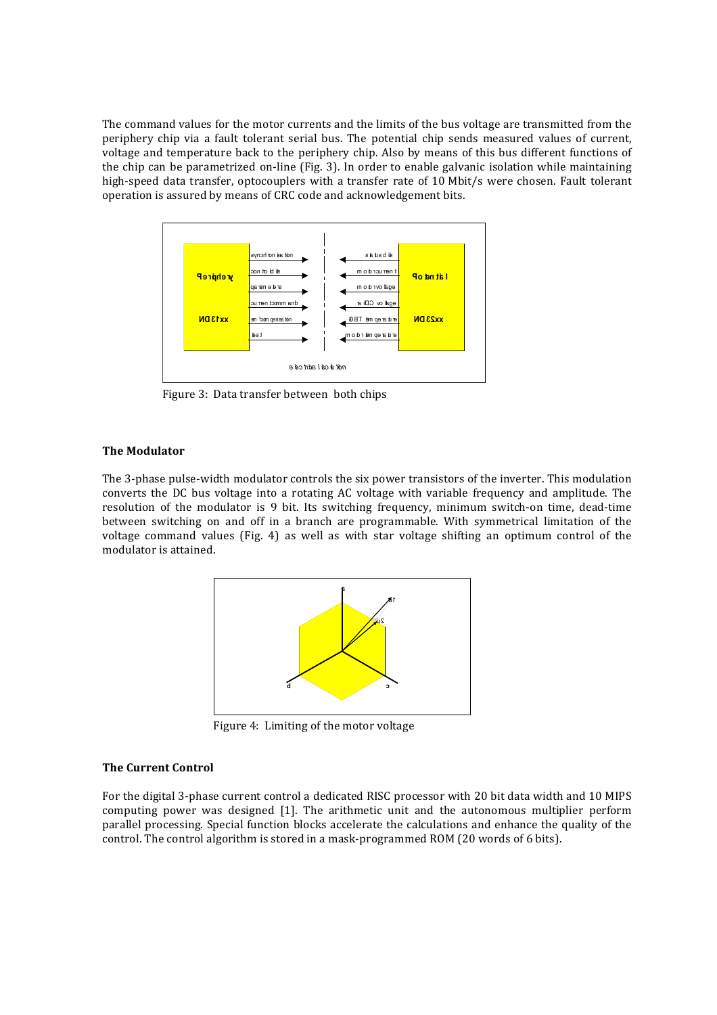The command values for the motor currents and the limits of the bus voltage are transmitted from the periphery chip via a fault tolerant serial bus. The potential chip sends measured values of current, voltage and temperature back to the periphery chip. Also by means of this bus different functions of the chip can be parametrized on-line (Fig. 3). In order to enable galvanic isolation while maintaining high-speed data transfer, optocouplers with a transfer rate of 10 Mbit/s were chosen. Fault tolerant operation is assured by means of CRC code and acknowledgement bits.



Figure 3: Data transfer between both chips

## **The Modulator**

The 3-phase pulse-width modulator controls the six power transistors of the inverter. This modulation converts the DC bus voltage into a rotating AC voltage with variable frequency and amplitude. The resolution of the modulator is 9 bit. Its switching frequency, minimum switch-on time, dead-time between switching on and off in a branch are programmable. With symmetrical limitation of the voltage command values (Fig. 4) as well as with star voltage shifting an optimum control of the modulator is attained.



Figure 4: Limiting of the motor voltage

#### **The Current Control**

For the digital 3-phase current control a dedicated RISC processor with 20 bit data width and 10 MIPS computing power was designed [1]. The arithmetic unit and the autonomous multiplier perform parallel processing. Special function blocks accelerate the calculations and enhance the quality of the control. The control algorithm is stored in a mask-programmed ROM (20 words of 6 bits).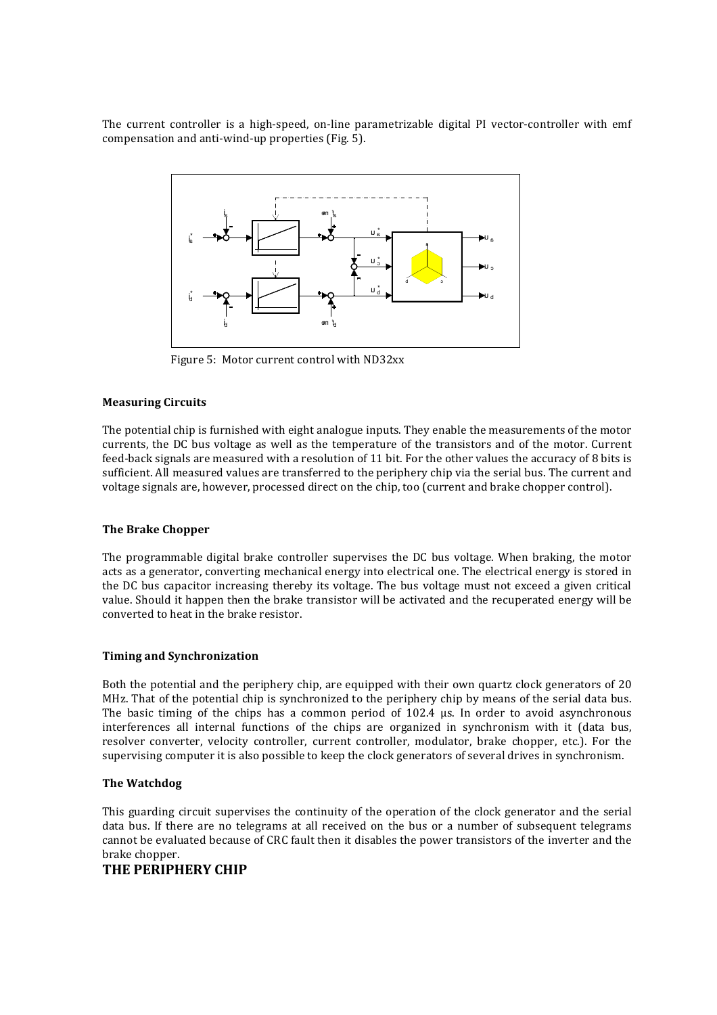The current controller is a high-speed, on-line parametrizable digital PI vector-controller with emf compensation and anti-wind-up properties (Fig. 5).



Figure 5: Motor current control with ND32xx

#### **Measuring Circuits**

The potential chip is furnished with eight analogue inputs. They enable the measurements of the motor currents, the DC bus voltage as well as the temperature of the transistors and of the motor. Current feed-back signals are measured with a resolution of 11 bit. For the other values the accuracy of 8 bits is sufficient. All measured values are transferred to the periphery chip via the serial bus. The current and voltage signals are, however, processed direct on the chip, too (current and brake chopper control).

#### **The Brake Chopper**

The programmable digital brake controller supervises the DC bus voltage. When braking, the motor acts as a generator, converting mechanical energy into electrical one. The electrical energy is stored in the DC bus capacitor increasing thereby its voltage. The bus voltage must not exceed a given critical value. Should it happen then the brake transistor will be activated and the recuperated energy will be converted to heat in the brake resistor.

## **Timing and Synchronization**

Both the potential and the periphery chip, are equipped with their own quartz clock generators of 20 MHz. That of the potential chip is synchronized to the periphery chip by means of the serial data bus. The basic timing of the chips has a common period of  $102.4 \mu s$ . In order to avoid asynchronous interferences all internal functions of the chips are organized in synchronism with it (data bus, resolver converter, velocity controller, current controller, modulator, brake chopper, etc.). For the supervising computer it is also possible to keep the clock generators of several drives in synchronism.

## **The Watchdog**

This guarding circuit supervises the continuity of the operation of the clock generator and the serial data bus. If there are no telegrams at all received on the bus or a number of subsequent telegrams cannot be evaluated because of CRC fault then it disables the power transistors of the inverter and the brake chopper.

# **THE PERIPHERY CHIP**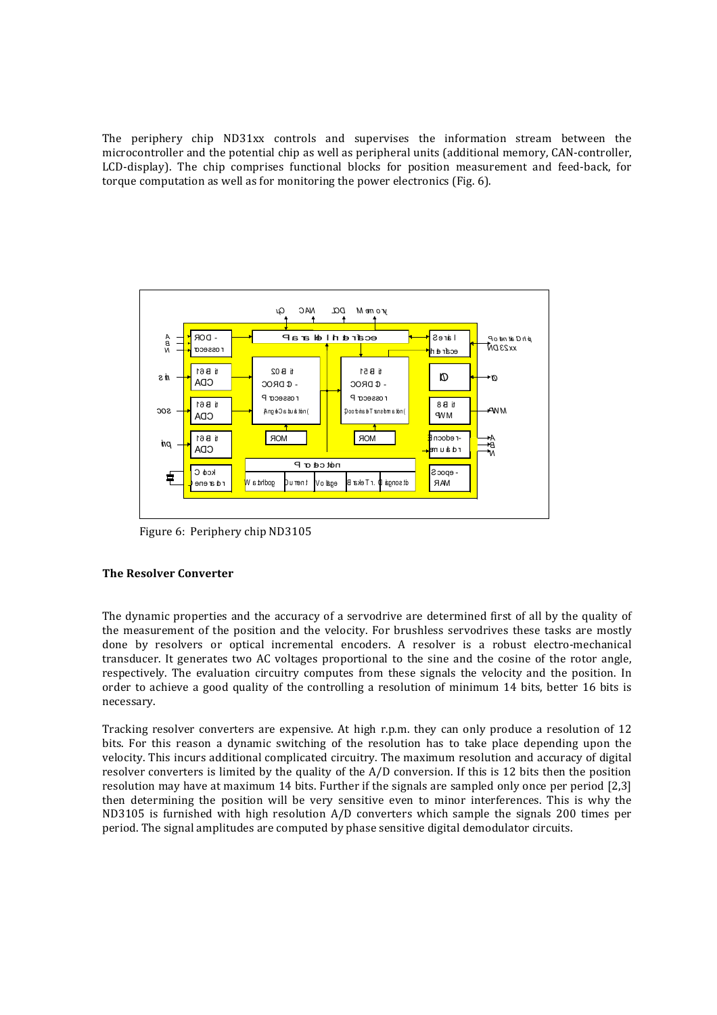The periphery chip  $ND31xx$  controls and supervises the information stream between the microcontroller and the potential chip as well as peripheral units (additional memory, CAN-controller, LCD-display). The chip comprises functional blocks for position measurement and feed-back, for torque computation as well as for monitoring the power electronics (Fig.  $6$ ).



Figure 6: Periphery chip ND3105

## **The Resolver Converter**

The dynamic properties and the accuracy of a servodrive are determined first of all by the quality of the measurement of the position and the velocity. For brushless servodrives these tasks are mostly done by resolvers or optical incremental encoders. A resolver is a robust electro-mechanical transducer. It generates two AC voltages proportional to the sine and the cosine of the rotor angle, respectively. The evaluation circuitry computes from these signals the velocity and the position. In order to achieve a good quality of the controlling a resolution of minimum  $14$  bits, better  $16$  bits is necessary.

Tracking resolver converters are expensive. At high r.p.m. they can only produce a resolution of  $12$ bits. For this reason a dynamic switching of the resolution has to take place depending upon the velocity. This incurs additional complicated circuitry. The maximum resolution and accuracy of digital resolver converters is limited by the quality of the  $A/D$  conversion. If this is 12 bits then the position resolution may have at maximum 14 bits. Further if the signals are sampled only once per period [2,3] then determining the position will be very sensitive even to minor interferences. This is why the ND3105 is furnished with high resolution  $A/D$  converters which sample the signals 200 times per period. The signal amplitudes are computed by phase sensitive digital demodulator circuits.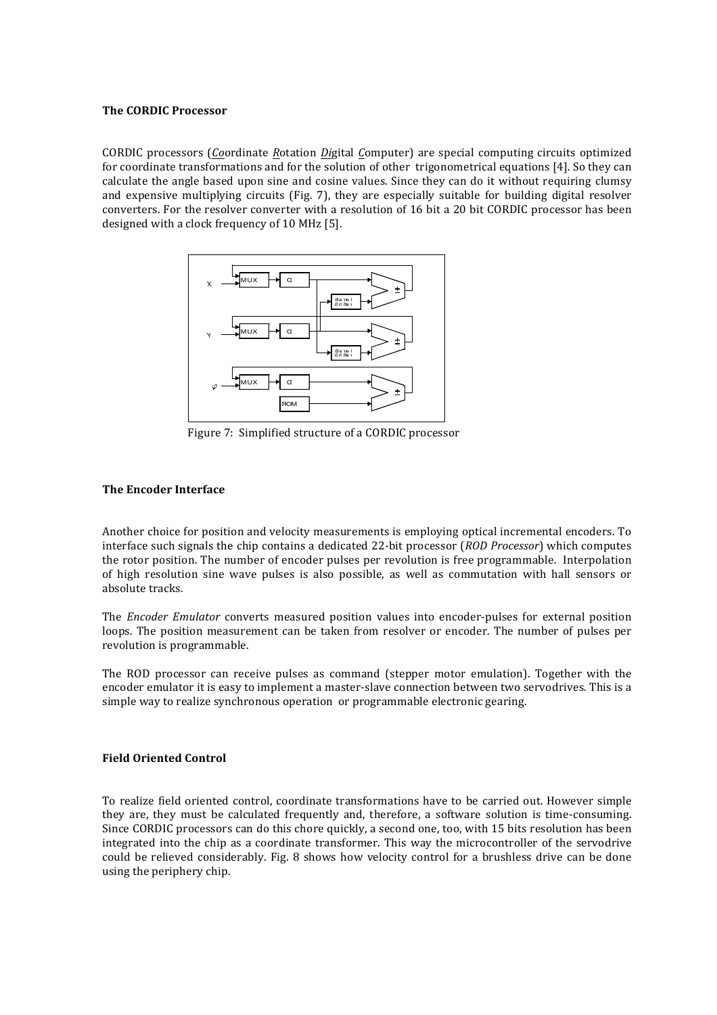#### **The CORDIC Processor**

CORDIC processors (*Co*ordinate *R*otation *Di*gital *C*omputer) are special computing circuits optimized for coordinate transformations and for the solution of other trigonometrical equations [4]. So they can calculate the angle based upon sine and cosine values. Since they can do it without requiring clumsy and expensive multiplying circuits  $(Fig. 7)$ , they are especially suitable for building digital resolver converters. For the resolver converter with a resolution of 16 bit a 20 bit CORDIC processor has been designed with a clock frequency of 10 MHz [5].



Figure 7: Simplified structure of a CORDIC processor

# **The Encoder Interface**

Another choice for position and velocity measurements is employing optical incremental encoders. To interface such signals the chip contains a dedicated 22-bit processor (*ROD Processor*) which computes the rotor position. The number of encoder pulses per revolution is free programmable. Interpolation of high resolution sine wave pulses is also possible, as well as commutation with hall sensors or absolute tracks.

The *Encoder Emulator* converts measured position values into encoder-pulses for external position loops. The position measurement can be taken from resolver or encoder. The number of pulses per revolution is programmable.

The ROD processor can receive pulses as command (stepper motor emulation). Together with the encoder emulator it is easy to implement a master-slave connection between two servodrives. This is a simple way to realize synchronous operation or programmable electronic gearing.

## **Field Oriented Control**

To realize field oriented control, coordinate transformations have to be carried out. However simple they are, they must be calculated frequently and, therefore, a software solution is time-consuming. Since CORDIC processors can do this chore quickly, a second one, too, with 15 bits resolution has been integrated into the chip as a coordinate transformer. This way the microcontroller of the servodrive could be relieved considerably. Fig. 8 shows how velocity control for a brushless drive can be done using the periphery chip.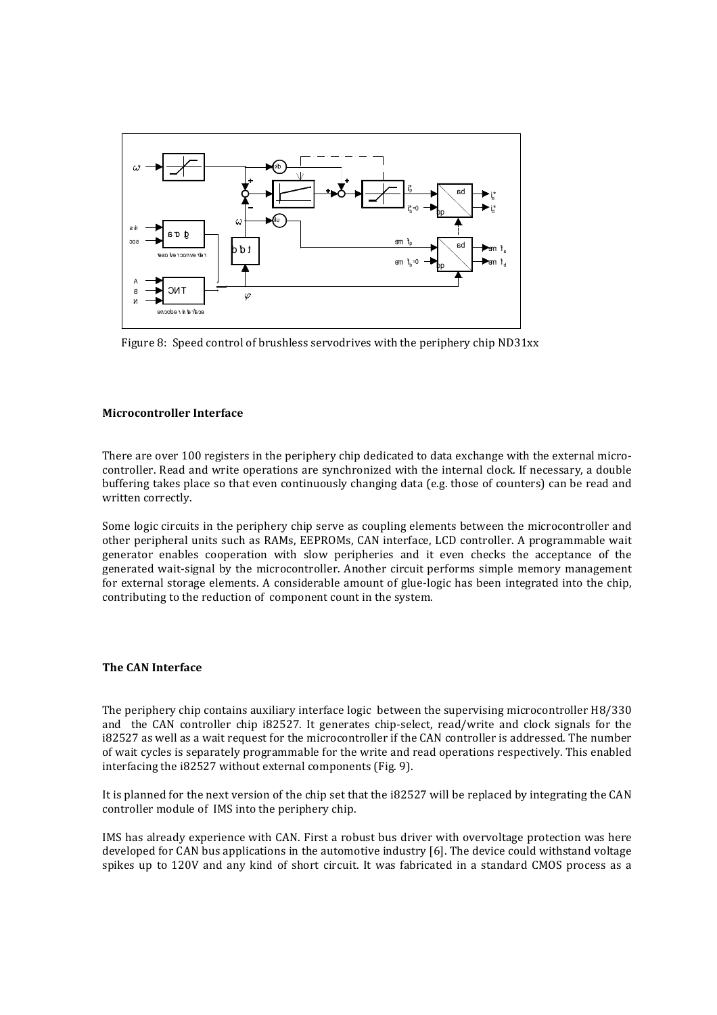

Figure 8: Speed control of brushless servodrives with the periphery chip ND31xx

#### **Microcontroller Interface**

There are over 100 registers in the periphery chip dedicated to data exchange with the external microcontroller. Read and write operations are synchronized with the internal clock. If necessary, a double buffering takes place so that even continuously changing data (e.g. those of counters) can be read and written correctly.

Some logic circuits in the periphery chip serve as coupling elements between the microcontroller and other peripheral units such as RAMs, EEPROMs, CAN interface, LCD controller. A programmable wait generator enables cooperation with slow peripheries and it even checks the acceptance of the generated wait-signal by the microcontroller. Another circuit performs simple memory management for external storage elements. A considerable amount of glue-logic has been integrated into the chip, contributing to the reduction of component count in the system.

## **The CAN Interface**

The periphery chip contains auxiliary interface logic between the supervising microcontroller H8/330 and the CAN controller chip i82527. It generates chip-select, read/write and clock signals for the i82527 as well as a wait request for the microcontroller if the CAN controller is addressed. The number of wait cycles is separately programmable for the write and read operations respectively. This enabled interfacing the i82527 without external components (Fig. 9).

It is planned for the next version of the chip set that the i82527 will be replaced by integrating the CAN controller module of IMS into the periphery chip.

IMS has already experience with CAN. First a robust bus driver with overvoltage protection was here developed for CAN bus applications in the automotive industry  $[6]$ . The device could withstand voltage spikes up to 120V and any kind of short circuit. It was fabricated in a standard CMOS process as a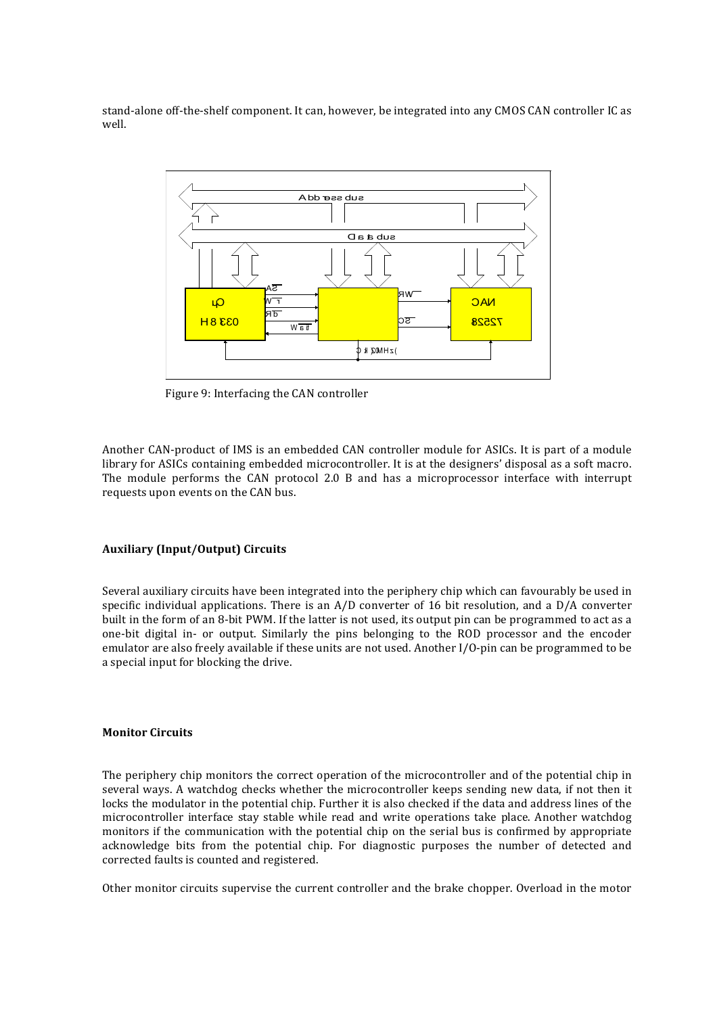stand-alone off-the-shelf component. It can, however, be integrated into any CMOS CAN controller IC as well.



Figure 9: Interfacing the CAN controller

Another CAN-product of IMS is an embedded CAN controller module for ASICs. It is part of a module library for ASICs containing embedded microcontroller. It is at the designers' disposal as a soft macro. The module performs the CAN protocol  $2.0$  B and has a microprocessor interface with interrupt requests upon events on the CAN bus.

### **Auxiliary (Input/Output) Circuits**

Several auxiliary circuits have been integrated into the periphery chip which can favourably be used in specific individual applications. There is an  $A/D$  converter of 16 bit resolution, and a  $D/A$  converter built in the form of an 8-bit PWM. If the latter is not used, its output pin can be programmed to act as a one-bit digital in- or output. Similarly the pins belonging to the ROD processor and the encoder emulator are also freely available if these units are not used. Another I/O-pin can be programmed to be a special input for blocking the drive.

#### **Monitor Circuits**

The periphery chip monitors the correct operation of the microcontroller and of the potential chip in several ways. A watchdog checks whether the microcontroller keeps sending new data, if not then it locks the modulator in the potential chip. Further it is also checked if the data and address lines of the microcontroller interface stay stable while read and write operations take place. Another watchdog monitors if the communication with the potential chip on the serial bus is confirmed by appropriate acknowledge bits from the potential chip. For diagnostic purposes the number of detected and corrected faults is counted and registered.

Other monitor circuits supervise the current controller and the brake chopper. Overload in the motor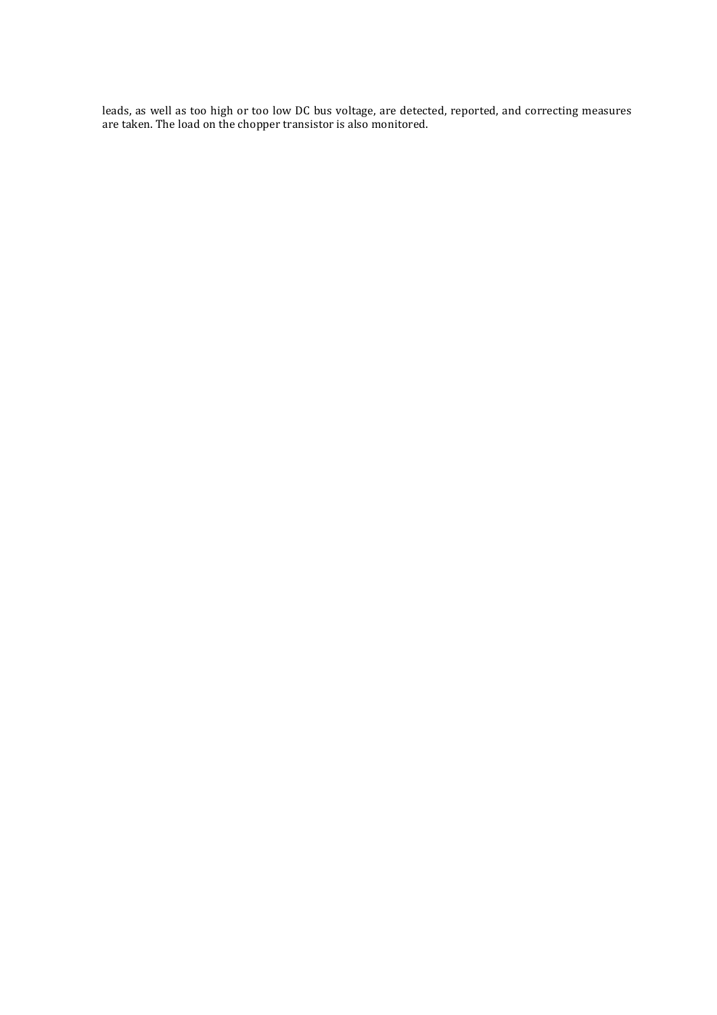leads, as well as too high or too low DC bus voltage, are detected, reported, and correcting measures are taken. The load on the chopper transistor is also monitored.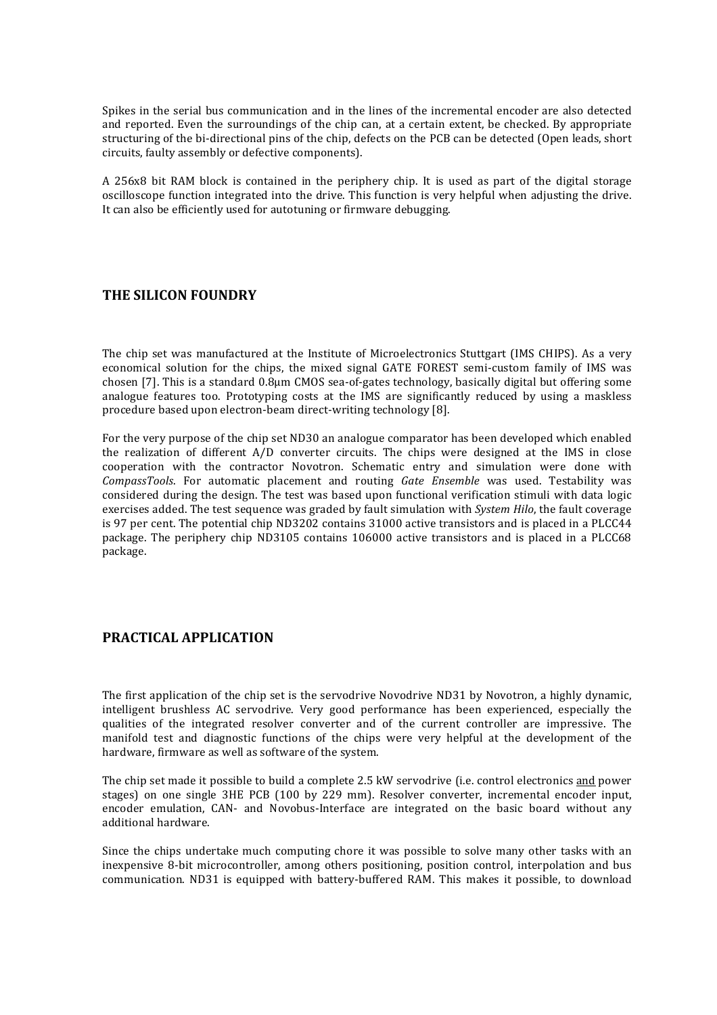Spikes in the serial bus communication and in the lines of the incremental encoder are also detected and reported. Even the surroundings of the chip can, at a certain extent, be checked. By appropriate structuring of the bi-directional pins of the chip, defects on the PCB can be detected (Open leads, short circuits, faulty assembly or defective components).

A 256x8 bit RAM block is contained in the periphery chip. It is used as part of the digital storage oscilloscope function integrated into the drive. This function is very helpful when adjusting the drive. It can also be efficiently used for autotuning or firmware debugging.

# **THE SILICON FOUNDRY**

The chip set was manufactured at the Institute of Microelectronics Stuttgart (IMS CHIPS). As a very economical solution for the chips, the mixed signal GATE FOREST semi-custom family of IMS was chosen [7]. This is a standard 0.8µm CMOS sea-of-gates technology, basically digital but offering some analogue features too. Prototyping costs at the IMS are significantly reduced by using a maskless procedure based upon electron-beam direct-writing technology [8].

For the very purpose of the chip set ND30 an analogue comparator has been developed which enabled the realization of different  $A/D$  converter circuits. The chips were designed at the IMS in close cooperation with the contractor Novotron. Schematic entry and simulation were done with *CompassTools*. For automatic placement and routing *Gate Ensemble* was used. Testability was considered during the design. The test was based upon functional verification stimuli with data logic exercises added. The test sequence was graded by fault simulation with *System Hilo*, the fault coverage is 97 per cent. The potential chip ND3202 contains  $31000$  active transistors and is placed in a PLCC44 package. The periphery chip ND3105 contains 106000 active transistors and is placed in a PLCC68 package.

# **PRACTICAL APPLICATION**

The first application of the chip set is the servodrive Novodrive ND31 by Novotron, a highly dynamic, intelligent brushless AC servodrive. Very good performance has been experienced, especially the qualities of the integrated resolver converter and of the current controller are impressive. The manifold test and diagnostic functions of the chips were very helpful at the development of the hardware, firmware as well as software of the system.

The chip set made it possible to build a complete 2.5 kW servodrive (i.e. control electronics and power stages) on one single 3HE PCB (100 by 229 mm). Resolver converter, incremental encoder input, encoder emulation, CAN- and Novobus-Interface are integrated on the basic board without any additional hardware.

Since the chips undertake much computing chore it was possible to solve many other tasks with an inexpensive  $\hat{B}$ -bit microcontroller, among others positioning, position control, interpolation and bus communication. ND31 is equipped with battery-buffered RAM. This makes it possible, to download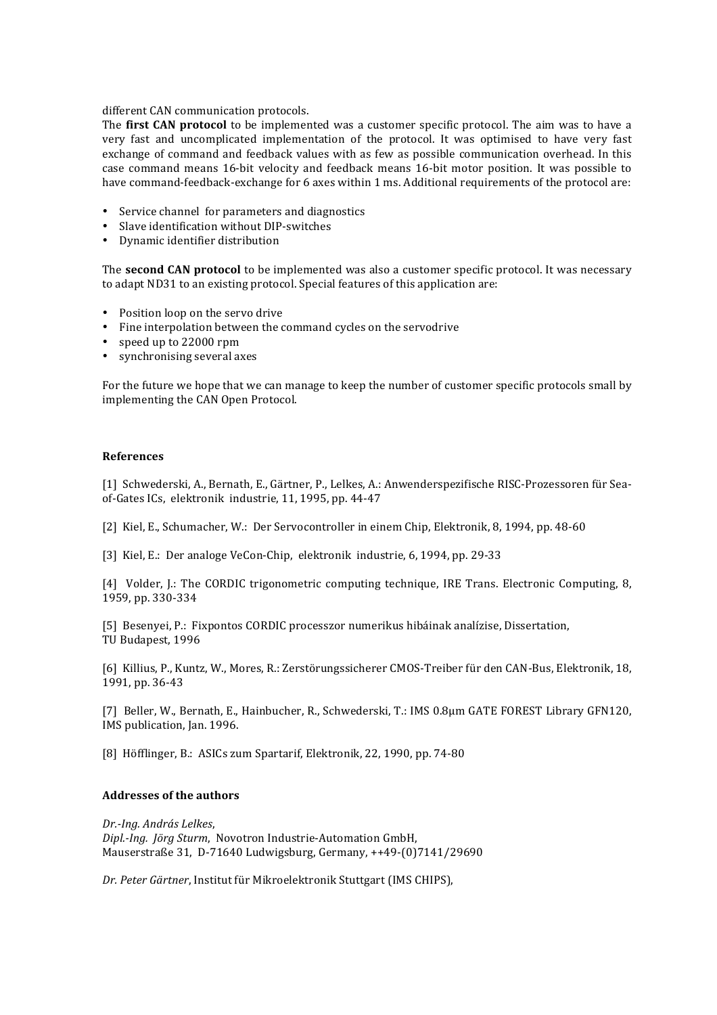#### different CAN communication protocols.

The **first CAN protocol** to be implemented was a customer specific protocol. The aim was to have a very fast and uncomplicated implementation of the protocol. It was optimised to have very fast exchange of command and feedback values with as few as possible communication overhead. In this case command means 16-bit velocity and feedback means 16-bit motor position. It was possible to have command-feedback-exchange for 6 axes within 1 ms. Additional requirements of the protocol are:

- Service channel for parameters and diagnostics
- Slave identification without DIP-switches
- Dynamic identifier distribution

The **second CAN protocol** to be implemented was also a customer specific protocol. It was necessary to adapt ND31 to an existing protocol. Special features of this application are:

- Position loop on the servo drive
- Fine interpolation between the command cycles on the servodrive
- speed up to 22000 rpm
- synchronising several axes

For the future we hope that we can manage to keep the number of customer specific protocols small by implementing the CAN Open Protocol.

## **References**

[1] Schwederski, A., Bernath, E., Gärtner, P., Lelkes, A.; Anwenderspezifische RISC-Prozessoren für Seaof-Gates ICs, elektronik industrie, 11, 1995, pp. 44-47

[2] Kiel, E., Schumacher, W.: Der Servocontroller in einem Chip, Elektronik, 8, 1994, pp. 48-60

[3] Kiel, E.: Der analoge VeCon-Chip, elektronik industrie, 6, 1994, pp. 29-33

[4] Volder, J.: The CORDIC trigonometric computing technique, IRE Trans. Electronic Computing, 8, 1959, pp. 330-334

[5] Besenyei, P.: Fixpontos CORDIC processzor numerikus hibáinak analízise, Dissertation, TU Budapest, 1996

[6] Killius, P., Kuntz, W., Mores, R.: Zerstörungssicherer CMOS-Treiber für den CAN-Bus, Elektronik, 18, 1991. pp. 36-43

[7] Beller, W., Bernath, E., Hainbucher, R., Schwederski, T.: IMS 0.8µm GATE FOREST Library GFN120, IMS publication, Jan. 1996.

[8] Höfflinger, B.: ASICs zum Spartarif, Elektronik, 22, 1990, pp. 74-80

## **Addresses of the authors**

*Dr.-Ing. András Lelkes*, *Dipl.-Ing. Jörg Sturm*, Novotron Industrie-Automation GmbH, Mauserstraße 31, D-71640 Ludwigsburg, Germany, ++49-(0)7141/29690

*Dr. Peter Gärtner*, Institut für Mikroelektronik Stuttgart (IMS CHIPS),